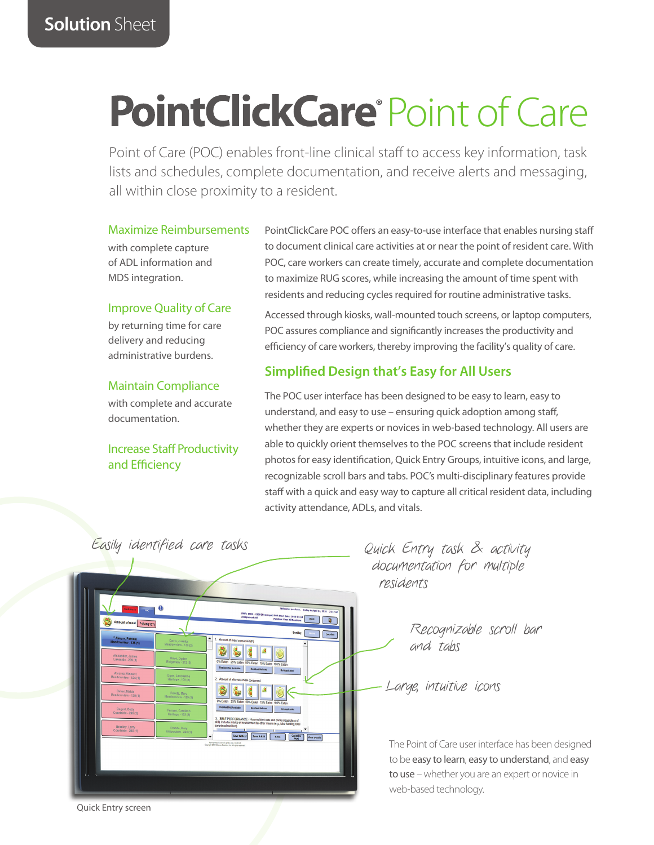# **PointClickCare®Point of Care**

Point of Care (POC) enables front-line clinical staff to access key information, task lists and schedules, complete documentation, and receive alerts and messaging, all within close proximity to a resident.

#### Maximize Reimbursements

with complete capture of ADL information and MDS integration.

#### Improve Quality of Care

by returning time for care delivery and reducing administrative burdens.

#### Maintain Compliance

with complete and accurate documentation.

# Increase Staff Productivity and Efficiency

PointClickCare POC offers an easy-to-use interface that enables nursing staff to document clinical care activities at or near the point of resident care. With POC, care workers can create timely, accurate and complete documentation to maximize RUG scores, while increasing the amount of time spent with residents and reducing cycles required for routine administrative tasks.

Accessed through kiosks, wall-mounted touch screens, or laptop computers, POC assures compliance and significantly increases the productivity and efficiency of care workers, thereby improving the facility's quality of care.

# **Simplified Design that's Easy for All Users**

The POC user interface has been designed to be easy to learn, easy to understand, and easy to use – ensuring quick adoption among staff, whether they are experts or novices in web-based technology. All users are able to quickly orient themselves to the POC screens that include resident photos for easy identification, Quick Entry Groups, intuitive icons, and large, recognizable scroll bars and tabs. POC's multi-disciplinary features provide staff with a quick and easy way to capture all critical resident data, including activity attendance, ADLs, and vitals.



Quick Entry task & activity documentation for multiple residents

> Recognizable scroll bar and tabs

Large, intuitive icons

The Point of Care user interface has been designed to be easy to learn, easy to understand, and easy to use – whether you are an expert or novice in web-based technology.

Quick Entry screen